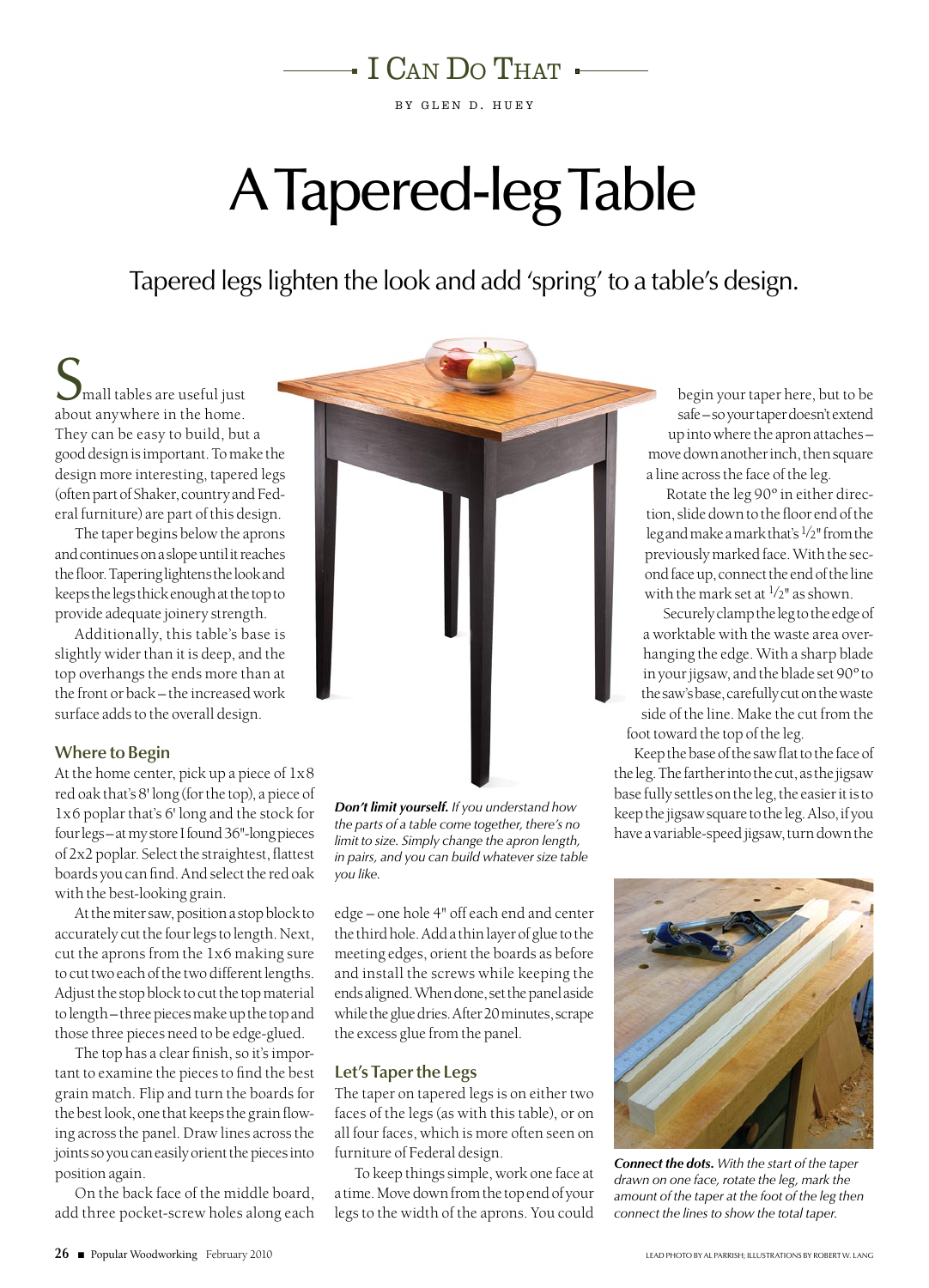$\overline{\phantom{a}}$  I Can Do That  $\overline{\phantom{a}}$ 

BY GLEN D. HUEY

# A Tapered-leg Table

Tapered legs lighten the look and add 'spring' to a table's design.

mall tables are useful just about anywhere in the home. They can be easy to build, but a good design is important. To make the design more interesting, tapered legs (often part of Shaker, country and Federal furniture) are part of this design.

The taper begins below the aprons and continues on a slope until it reaches the floor. Tapering lightens the look and keeps the legs thick enough at the top to provide adequate joinery strength.

Additionally, this table's base is slightly wider than it is deep, and the top overhangs the ends more than at the front or back – the increased work surface adds to the overall design.

#### **Where to Begin**

At the home center, pick up a piece of 1x8 red oak that's 8' long (for the top), a piece of 1x6 poplar that's 6' long and the stock for four legs – at my store I found 36"-long pieces of 2x2 poplar. Select the straightest, flattest boards you can find. And select the red oak with the best-looking grain.

At the miter saw, position a stop block to accurately cut the four legs to length. Next, cut the aprons from the 1x6 making sure to cut two each of the two different lengths. Adjust the stop block to cut the top material to length – three pieces make up the top and those three pieces need to be edge-glued.

The top has a clear finish, so it's important to examine the pieces to find the best grain match. Flip and turn the boards for the best look, one that keeps the grain flowing across the panel. Draw lines across the joints so you can easily orient the pieces into position again.

On the back face of the middle board, add three pocket-screw holes along each



*Don't limit yourself. If you understand how the parts of a table come together, there's no limit to size. Simply change the apron length, in pairs, and you can build whatever size table you like.*

edge – one hole 4" off each end and center the third hole. Add a thin layer of glue to the meeting edges, orient the boards as before and install the screws while keeping the ends aligned. When done, set the panel aside while the glue dries. After 20 minutes, scrape the excess glue from the panel.

### **Let's Taper the Legs**

The taper on tapered legs is on either two faces of the legs (as with this table), or on all four faces, which is more often seen on furniture of Federal design.

To keep things simple, work one face at a time. Move down from the top end of your legs to the width of the aprons. You could

begin your taper here, but to be safe – so your taper doesn't extend up into where the apron attaches – move down another inch, then square a line across the face of the leg.

Rotate the leg 90º in either direction, slide down to the floor end of the leg and make a mark that's  $\frac{1}{2}$ " from the previously marked face. With the second face up, connect the end of the line with the mark set at  $\frac{1}{2}$ " as shown.

Securely clamp the leg to the edge of a worktable with the waste area overhanging the edge. With a sharp blade in your jigsaw, and the blade set 90º to the saw's base, carefully cut on the waste side of the line. Make the cut from the foot toward the top of the leg.

Keep the base of the saw flat to the face of the leg. The farther into the cut, as the jigsaw base fully settles on the leg, the easier it is to keep the jigsaw square to the leg. Also, if you have a variable-speed jigsaw, turn down the



*Connect the dots. With the start of the taper drawn on one face, rotate the leg, mark the amount of the taper at the foot of the leg then connect the lines to show the total taper.*